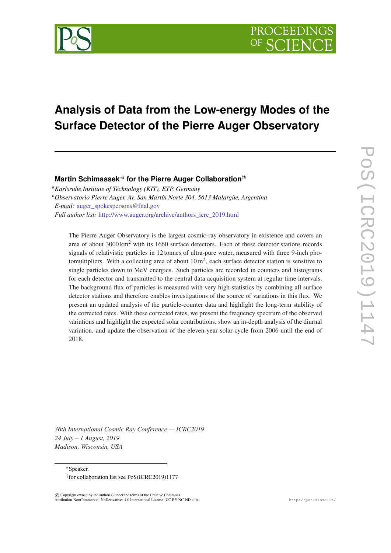

# **Analysis of Data from the Low-energy Modes of the Surface Detector of the Pierre Auger Observatory**

**Martin Schimassek**∗*<sup>a</sup>* **for the Pierre Auger Collaboration**†*<sup>b</sup>*

*<sup>a</sup>Karlsruhe Institute of Technology (KIT), ETP, Germany <sup>b</sup>Observatorio Pierre Auger, Av. San Martín Norte 304, 5613 Malargüe, Argentina E-mail:* auger spokespersons@fnal.gov *Full author list:* [http://www.auger.org/archive/authors\\_icrc\\_2019.html](http://www.auger.org/archive/authors_icrc_2019.html)

The Pierre Auger Observatory is the largest cosmic-ray observatory in existence and covers an area of about  $3000 \text{ km}^2$  with its 1660 surface detectors. Each of these detector stations records signals of relativistic particles in 12 tonnes of ultra-pure water, measured with three 9-inch photomultipliers. With a collecting area of about  $10 \text{ m}^2$ , each surface detector station is sensitive to single particles down to MeV energies. Such particles are recorded in counters and histograms for each detector and transmitted to the central data acquisition system at regular time intervals. The background flux of particles is measured with very high statistics by combining all surface detector stations and therefore enables investigations of the source of variations in this flux. We present an updated analysis of the particle-counter data and highlight the long-term stability of the corrected rates. With these corrected rates, we present the frequency spectrum of the observed variations and highlight the expected solar contributions, show an in-depth analysis of the diurnal variation, and update the observation of the eleven-year solar-cycle from 2006 until the end of 2018.

POS(ICRC2019)114 PoS(ICRC2019)1147

*36th International Cosmic Ray Conference — ICRC2019 24 July – 1 August, 2019 Madison, Wisconsin, USA*

<sup>∗</sup>Speaker. † for collaboration list see PoS(ICRC2019)1177

 $\overline{c}$  Copyright owned by the author(s) under the terms of the Creative Common Attribution-NonCommercial-NoDerivatives 4.0 International License (CC BY-NC-ND 4.0). http://pos.sissa.it/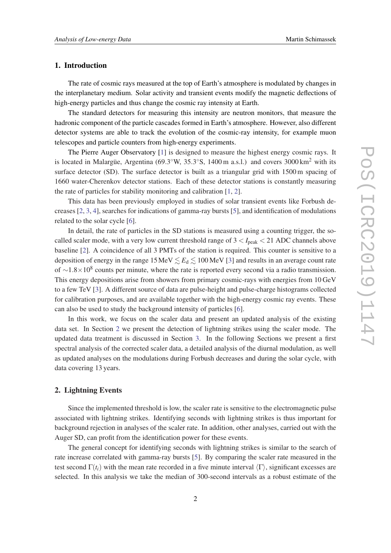## 1. Introduction

The rate of cosmic rays measured at the top of Earth's atmosphere is modulated by changes in the interplanetary medium. Solar activity and transient events modify the magnetic deflections of high-energy particles and thus change the cosmic ray intensity at Earth.

The standard detectors for measuring this intensity are neutron monitors, that measure the hadronic component of the particle cascades formed in Earth's atmosphere. However, also different detector systems are able to track the evolution of the cosmic-ray intensity, for example muon telescopes and particle counters from high-energy experiments.

The Pierre Auger Observatory [\[1\]](#page-7-0) is designed to measure the highest energy cosmic rays. It is located in Malargüe, Argentina (69.3°W, 35.3°S, 1400 m a.s.l.) and covers 3000 km<sup>2</sup> with its surface detector (SD). The surface detector is built as a triangular grid with 1500 m spacing of 1660 water-Cherenkov detector stations. Each of these detector stations is constantly measuring the rate of particles for stability monitoring and calibration [\[1](#page-7-0), [2](#page-7-0)].

This data has been previously employed in studies of solar transient events like Forbush decreases [[2](#page-7-0), [3,](#page-7-0) [4\]](#page-7-0), searches for indications of gamma-ray bursts [[5](#page-7-0)], and identification of modulations related to the solar cycle [\[6\]](#page-7-0).

In detail, the rate of particles in the SD stations is measured using a counting trigger, the socalled scaler mode, with a very low current threshold range of  $3 < I_{\text{peak}} < 21$  ADC channels above baseline [[2](#page-7-0)]. A coincidence of all 3 PMTs of the station is required. This counter is sensitive to a deposition of energy in the range  $15 \text{ MeV} \lesssim E_d \lesssim 100 \text{ MeV}$  [[3](#page-7-0)] and results in an average count rate of  $\sim$ 1.8×10<sup>8</sup> counts per minute, where the rate is reported every second via a radio transmission. This energy depositions arise from showers from primary cosmic-rays with energies from 10 GeV to a few TeV [\[3](#page-7-0)]. A different source of data are pulse-height and pulse-charge histograms collected for calibration purposes, and are available together with the high-energy cosmic ray events. These can also be used to study the background intensity of particles [[6](#page-7-0)].

In this work, we focus on the scaler data and present an updated analysis of the existing data set. In Section 2 we present the detection of lightning strikes using the scaler mode. The updated data treatment is discussed in Section [3](#page-3-0). In the following Sections we present a first spectral analysis of the corrected scaler data, a detailed analysis of the diurnal modulation, as well as updated analyses on the modulations during Forbush decreases and during the solar cycle, with data covering 13 years.

## 2. Lightning Events

Since the implemented threshold is low, the scaler rate is sensitive to the electromagnetic pulse associated with lightning strikes. Identifying seconds with lightning strikes is thus important for background rejection in analyses of the scaler rate. In addition, other analyses, carried out with the Auger SD, can profit from the identification power for these events.

The general concept for identifying seconds with lightning strikes is similar to the search of rate increase correlated with gamma-ray bursts [\[5](#page-7-0)]. By comparing the scaler rate measured in the test second  $\Gamma(t_i)$  with the mean rate recorded in a five minute interval  $\langle \Gamma \rangle$ , significant excesses are selected. In this analysis we take the median of 300-second intervals as a robust estimate of the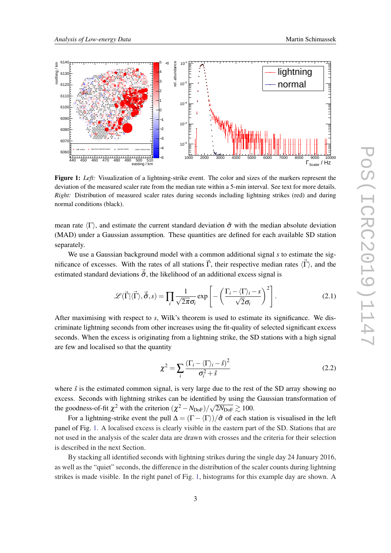

Figure 1: *Left:* Visualization of a lightning-strike event. The color and sizes of the markers represent the deviation of the measured scaler rate from the median rate within a 5-min interval. See text for more details. *Right:* Distribution of measured scaler rates during seconds including lightning strikes (red) and during normal conditions (black).

mean rate  $\langle \Gamma \rangle$ , and estimate the current standard deviation  $\hat{\sigma}$  with the median absolute deviation (MAD) under a Gaussian assumption. These quantities are defined for each available SD station separately.

We use a Gaussian background model with a common additional signal *s* to estimate the significance of excesses. With the rates of all stations  $\vec{\Gamma}$ , their respective median rates  $\langle \vec{\Gamma} \rangle$ , and the estimated standard deviations  $\hat{\sigma}$ , the likelihood of an additional excess signal is

$$
\mathscr{L}(\vec{\Gamma}|\langle\vec{\Gamma}\rangle,\vec{\hat{\sigma}},s) = \prod_{i} \frac{1}{\sqrt{2\pi}\sigma_{i}} \exp\left[-\left(\frac{\Gamma_{i}-\langle\Gamma\rangle_{i}-s}{\sqrt{2}\sigma_{i}}\right)^{2}\right].
$$
 (2.1)

After maximising with respect to *s*, Wilk's theorem is used to estimate its significance. We discriminate lightning seconds from other increases using the fit-quality of selected significant excess seconds. When the excess is originating from a lightning strike, the SD stations with a high signal are few and localised so that the quantity

$$
\chi^2 = \sum_{i} \frac{(\Gamma_i - \langle \Gamma \rangle_i - \hat{s})^2}{\sigma_i^2 + \hat{s}}
$$
(2.2)

where  $\hat{s}$  is the estimated common signal, is very large due to the rest of the SD array showing no excess. Seconds with lightning strikes can be identified by using the Gaussian transformation of the goodness-of-fit  $\chi^2$  with the criterion  $(\chi^2 - N_{\text{DoF}})/\sqrt{2N_{\text{DoF}}} \gtrsim 100$ .

For a lightning-strike event the pull  $\Delta = (\Gamma - \langle \Gamma \rangle)/\hat{\sigma}$  of each station is visualised in the left panel of Fig. 1. A localised excess is clearly visible in the eastern part of the SD. Stations that are not used in the analysis of the scaler data are drawn with crosses and the criteria for their selection is described in the next Section.

By stacking all identified seconds with lightning strikes during the single day 24 January 2016, as well as the "quiet" seconds, the difference in the distribution of the scaler counts during lightning strikes is made visible. In the right panel of Fig. 1, histograms for this example day are shown. A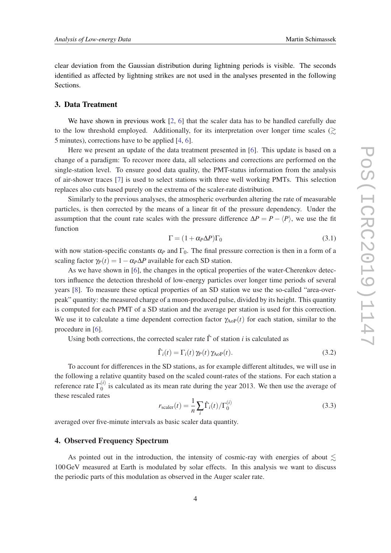<span id="page-3-0"></span>clear deviation from the Gaussian distribution during lightning periods is visible. The seconds identified as affected by lightning strikes are not used in the analyses presented in the following Sections.

# 3. Data Treatment

We have shown in previous work [[2](#page-7-0), [6\]](#page-7-0) that the scaler data has to be handled carefully due to the low threshold employed. Additionally, for its interpretation over longer time scales  $\langle \gtrsim$ 5 minutes), corrections have to be applied [\[4,](#page-7-0) [6](#page-7-0)].

Here we present an update of the data treatment presented in [\[6\]](#page-7-0). This update is based on a change of a paradigm: To recover more data, all selections and corrections are performed on the single-station level. To ensure good data quality, the PMT-status information from the analysis of air-shower traces [[7](#page-7-0)] is used to select stations with three well working PMTs. This selection replaces also cuts based purely on the extrema of the scaler-rate distribution.

Similarly to the previous analyses, the atmospheric overburden altering the rate of measurable particles, is then corrected by the means of a linear fit of the pressure dependency. Under the assumption that the count rate scales with the pressure difference  $\Delta P = P - \langle P \rangle$ , we use the fit function

$$
\Gamma = (1 + \alpha_P \Delta P) \Gamma_0 \tag{3.1}
$$

with now station-specific constants  $\alpha_P$  and  $\Gamma_0$ . The final pressure correction is then in a form of a scaling factor  $\gamma_P(t) = 1 - \alpha_P \Delta P$  available for each SD station.

As we have shown in [\[6\]](#page-7-0), the changes in the optical properties of the water-Cherenkov detectors influence the detection threshold of low-energy particles over longer time periods of several years [[8\]](#page-7-0). To measure these optical properties of an SD station we use the so-called "area-overpeak" quantity: the measured charge of a muon-produced pulse, divided by its height. This quantity is computed for each PMT of a SD station and the average per station is used for this correction. We use it to calculate a time dependent correction factor  $\gamma_{\text{A}oP}(t)$  for each station, similar to the procedure in [[6\]](#page-7-0).

Using both corrections, the corrected scaler rate  $\hat{\Gamma}$  of station *i* is calculated as

$$
\hat{\Gamma}_i(t) = \Gamma_i(t) \gamma_P(t) \gamma_{\text{AoP}}(t).
$$
\n(3.2)

To account for differences in the SD stations, as for example different altitudes, we will use in the following a relative quantity based on the scaled count-rates of the stations. For each station a reference rate Γ (*i*)  $\binom{0}{0}$  is calculated as its mean rate during the year 2013. We then use the average of these rescaled rates

$$
r_{\text{scalar}}(t) = \frac{1}{n} \sum_{i} \hat{\Gamma}_i(t) / \Gamma_0^{(i)}
$$
\n(3.3)

averaged over five-minute intervals as basic scaler data quantity.

# 4. Observed Frequency Spectrum

As pointed out in the introduction, the intensity of cosmic-ray with energies of about  $\leq$ 100GeV measured at Earth is modulated by solar effects. In this analysis we want to discuss the periodic parts of this modulation as observed in the Auger scaler rate.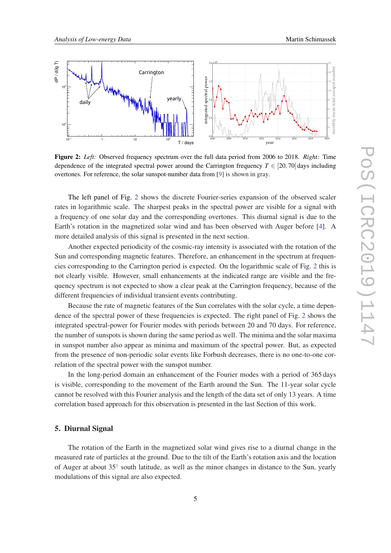<span id="page-4-0"></span>

Figure 2: *Left:* Observed frequency spectrum over the full data period from 2006 to 2018. *Right:* Time dependence of the integrated spectral power around the Carrington frequency  $T \in [20, 70]$  days including overtones. For reference, the solar sunspot-number data from [\[9](#page-7-0)] is shown in gray.

The left panel of Fig. 2 shows the discrete Fourier-series expansion of the observed scaler rates in logarithmic scale. The sharpest peaks in the spectral power are visible for a signal with a frequency of one solar day and the corresponding overtones. This diurnal signal is due to the Earth's rotation in the magnetized solar wind and has been observed with Auger before [\[4\]](#page-7-0). A more detailed analysis of this signal is presented in the next section.

Another expected periodicity of the cosmic-ray intensity is associated with the rotation of the Sun and corresponding magnetic features. Therefore, an enhancement in the spectrum at frequencies corresponding to the Carrington period is expected. On the logarithmic scale of Fig. 2 this is not clearly visible. However, small enhancements at the indicated range are visible and the frequency spectrum is not expected to show a clear peak at the Carrington frequency, because of the different frequencies of individual transient events contributing.

Because the rate of magnetic features of the Sun correlates with the solar cycle, a time dependence of the spectral power of these frequencies is expected. The right panel of Fig. 2 shows the integrated spectral-power for Fourier modes with periods between 20 and 70 days. For reference, the number of sunspots is shown during the same period as well. The minima and the solar maxima in sunspot number also appear as minima and maximum of the spectral power. But, as expected from the presence of non-periodic solar events like Forbush decreases, there is no one-to-one correlation of the spectral power with the sunspot number.

In the long-period domain an enhancement of the Fourier modes with a period of 365 days is visible, corresponding to the movement of the Earth around the Sun. The 11-year solar cycle cannot be resolved with this Fourier analysis and the length of the data set of only 13 years. A time correlation based approach for this observation is presented in the last Section of this work.

#### 5. Diurnal Signal

The rotation of the Earth in the magnetized solar wind gives rise to a diurnal change in the measured rate of particles at the ground. Due to the tilt of the Earth's rotation axis and the location of Auger at about 35° south latitude, as well as the minor changes in distance to the Sun, yearly modulations of this signal are also expected.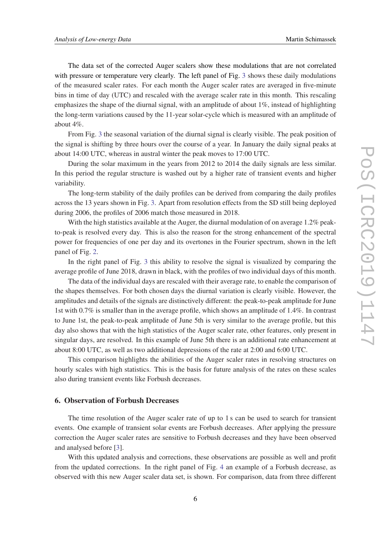The data set of the corrected Auger scalers show these modulations that are not correlated with pressure or temperature very clearly. The left panel of Fig. [3](#page-6-0) shows these daily modulations of the measured scaler rates. For each month the Auger scaler rates are averaged in five-minute bins in time of day (UTC) and rescaled with the average scaler rate in this month. This rescaling emphasizes the shape of the diurnal signal, with an amplitude of about  $1\%$ , instead of highlighting the long-term variations caused by the 11-year solar-cycle which is measured with an amplitude of about 4%.

From Fig. [3](#page-6-0) the seasonal variation of the diurnal signal is clearly visible. The peak position of the signal is shifting by three hours over the course of a year. In January the daily signal peaks at about 14:00 UTC, whereas in austral winter the peak moves to 17:00 UTC.

During the solar maximum in the years from 2012 to 2014 the daily signals are less similar. In this period the regular structure is washed out by a higher rate of transient events and higher variability.

The long-term stability of the daily profiles can be derived from comparing the daily profiles across the 13 years shown in Fig. [3](#page-6-0). Apart from resolution effects from the SD still being deployed during 2006, the profiles of 2006 match those measured in 2018.

With the high statistics available at the Auger, the diurnal modulation of on average 1.2% peakto-peak is resolved every day. This is also the reason for the strong enhancement of the spectral power for frequencies of one per day and its overtones in the Fourier spectrum, shown in the left panel of Fig. [2.](#page-4-0)

In the right panel of Fig. [3](#page-6-0) this ability to resolve the signal is visualized by comparing the average profile of June 2018, drawn in black, with the profiles of two individual days of this month.

The data of the individual days are rescaled with their average rate, to enable the comparison of the shapes themselves. For both chosen days the diurnal variation is clearly visible. However, the amplitudes and details of the signals are distinctively different: the peak-to-peak amplitude for June 1st with 0.7% is smaller than in the average profile, which shows an amplitude of 1.4%. In contrast to June 1st, the peak-to-peak amplitude of June 5th is very similar to the average profile, but this day also shows that with the high statistics of the Auger scaler rate, other features, only present in singular days, are resolved. In this example of June 5th there is an additional rate enhancement at about 8:00 UTC, as well as two additional depressions of the rate at 2:00 and 6:00 UTC.

This comparison highlights the abilities of the Auger scaler rates in resolving structures on hourly scales with high statistics. This is the basis for future analysis of the rates on these scales also during transient events like Forbush decreases.

#### 6. Observation of Forbush Decreases

The time resolution of the Auger scaler rate of up to 1 s can be used to search for transient events. One example of transient solar events are Forbush decreases. After applying the pressure correction the Auger scaler rates are sensitive to Forbush decreases and they have been observed and analysed before [[3](#page-7-0)].

With this updated analysis and corrections, these observations are possible as well and profit from the updated corrections. In the right panel of Fig. [4](#page-7-0) an example of a Forbush decrease, as observed with this new Auger scaler data set, is shown. For comparison, data from three different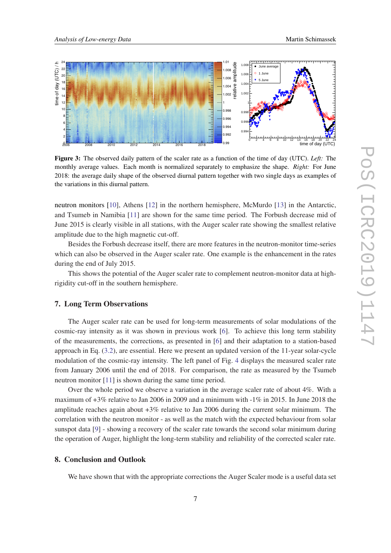<span id="page-6-0"></span>

Figure 3: The observed daily pattern of the scaler rate as a function of the time of day (UTC). *Left:* The monthly average values. Each month is normalized separately to emphasize the shape. *Right:* For June 2018: the average daily shape of the observed diurnal pattern together with two single days as examples of the variations in this diurnal pattern.

neutron monitors [\[10](#page-7-0)], Athens [\[12](#page-7-0)] in the northern hemisphere, McMurdo [\[13](#page-7-0)] in the Antarctic, and Tsumeb in Namibia [[11\]](#page-7-0) are shown for the same time period. The Forbush decrease mid of June 2015 is clearly visible in all stations, with the Auger scaler rate showing the smallest relative amplitude due to the high magnetic cut-off.

Besides the Forbush decrease itself, there are more features in the neutron-monitor time-series which can also be observed in the Auger scaler rate. One example is the enhancement in the rates during the end of July 2015.

This shows the potential of the Auger scaler rate to complement neutron-monitor data at highrigidity cut-off in the southern hemisphere.

## 7. Long Term Observations

The Auger scaler rate can be used for long-term measurements of solar modulations of the cosmic-ray intensity as it was shown in previous work [[6](#page-7-0)]. To achieve this long term stability of the measurements, the corrections, as presented in [[6\]](#page-7-0) and their adaptation to a station-based approach in Eq. ([3.2](#page-3-0)), are essential. Here we present an updated version of the 11-year solar-cycle modulation of the cosmic-ray intensity. The left panel of Fig. [4](#page-7-0) displays the measured scaler rate from January 2006 until the end of 2018. For comparison, the rate as measured by the Tsumeb neutron monitor [\[11](#page-7-0)] is shown during the same time period.

Over the whole period we observe a variation in the average scaler rate of about 4%. With a maximum of +3% relative to Jan 2006 in 2009 and a minimum with -1% in 2015. In June 2018 the amplitude reaches again about  $+3\%$  relative to Jan 2006 during the current solar minimum. The correlation with the neutron monitor - as well as the match with the expected behaviour from solar sunspot data [\[9\]](#page-7-0) - showing a recovery of the scaler rate towards the second solar minimum during the operation of Auger, highlight the long-term stability and reliability of the corrected scaler rate.

# 8. Conclusion and Outlook

We have shown that with the appropriate corrections the Auger Scaler mode is a useful data set